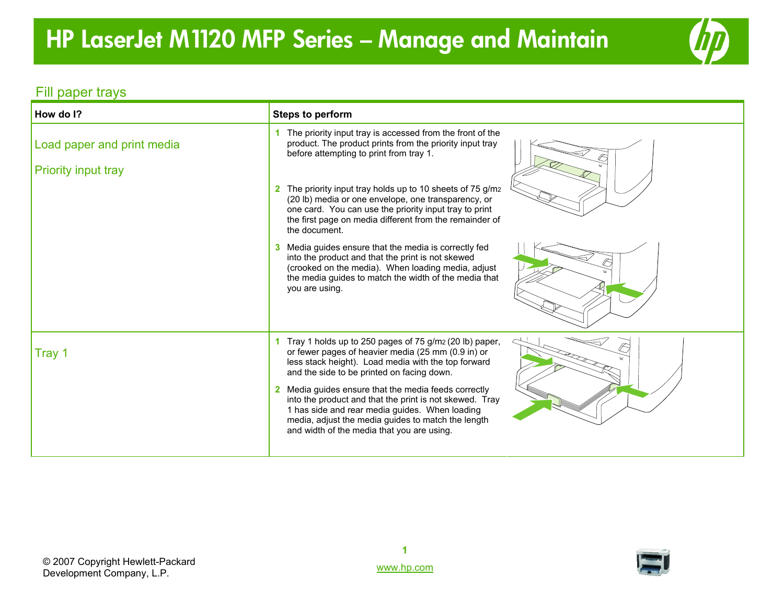## **HP LaserJet M1120 MFP Series – Manage and Mainta**i**<sup>n</sup>**



### Fill paper trays

| How do I?                                                | <b>Steps to perform</b>                                                                                                                                                                                                                                               |
|----------------------------------------------------------|-----------------------------------------------------------------------------------------------------------------------------------------------------------------------------------------------------------------------------------------------------------------------|
| Load paper and print media<br><b>Priority input tray</b> | The priority input tray is accessed from the front of the<br>product. The product prints from the priority input tray<br>before attempting to print from tray 1.                                                                                                      |
|                                                          | 2 The priority input tray holds up to 10 sheets of 75 g/m2<br>(20 lb) media or one envelope, one transparency, or<br>one card. You can use the priority input tray to print<br>the first page on media different from the remainder of<br>the document.               |
|                                                          | 3 Media guides ensure that the media is correctly fed<br>into the product and that the print is not skewed<br>(crooked on the media). When loading media, adjust<br>the media guides to match the width of the media that<br>you are using.                           |
| Tray 1                                                   | 1 Tray 1 holds up to 250 pages of 75 g/m <sub>2</sub> (20 lb) paper,<br>or fewer pages of heavier media (25 mm (0.9 in) or<br>less stack height). Load media with the top forward<br>and the side to be printed on facing down.                                       |
|                                                          | 2 Media guides ensure that the media feeds correctly<br>into the product and that the print is not skewed. Tray<br>1 has side and rear media guides. When loading<br>media, adjust the media guides to match the length<br>and width of the media that you are using. |

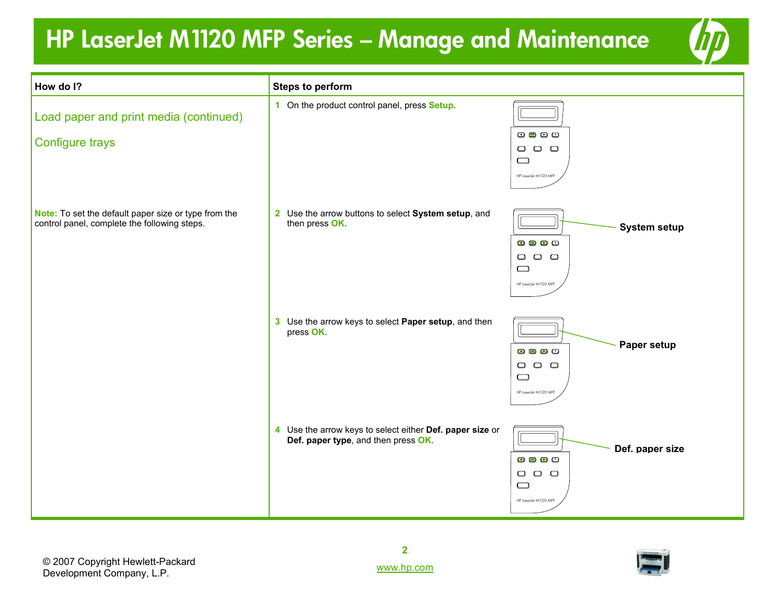## **HP LaserJet M1120 MFP Series – Manage and Maintenance**



| How do I?                                                                                            | <b>Steps to perform</b>                                                                         |                                                                                                                                                                                                                                                                                                                                                                                                                                                                                                          |
|------------------------------------------------------------------------------------------------------|-------------------------------------------------------------------------------------------------|----------------------------------------------------------------------------------------------------------------------------------------------------------------------------------------------------------------------------------------------------------------------------------------------------------------------------------------------------------------------------------------------------------------------------------------------------------------------------------------------------------|
| Load paper and print media (continued)<br>Configure trays                                            | 1 On the product control panel, press Setup.                                                    | $\begin{picture}(20,20) \put(0,0){\dashbox{0.5}(5,0){ }} \put(15,0){\circle{1}} \put(25,0){\circle{1}} \put(35,0){\circle{1}} \put(45,0){\circle{1}} \put(55,0){\circle{1}} \put(65,0){\circle{1}} \put(75,0){\circle{1}} \put(75,0){\circle{1}} \put(75,0){\circle{1}} \put(75,0){\circle{1}} \put(75,0){\circle{1}} \put(75,0){\circle{1}} \put(75,0){\circle{1}} \put(75,0){\circle{1}} \put(75,0$<br>$\begin{array}{ccc} \square & \square & \square \end{array}$<br>$\Box$<br>HP LaserJet M1120 MFP |
| Note: To set the default paper size or type from the<br>control panel, complete the following steps. | 2 Use the arrow buttons to select System setup, and<br>then press OK.                           | <b>System setup</b><br>$\overline{\mathbf{C}}$ $\overline{\mathbf{C}}$ $\overline{\mathbf{C}}$ $\overline{\mathbf{C}}$<br>$\begin{array}{ccc} \square & \square & \square \end{array}$<br>$\Box$<br>HP LaserJet M1120 MFP                                                                                                                                                                                                                                                                                |
|                                                                                                      | 3 Use the arrow keys to select Paper setup, and then<br>press OK.                               | Paper setup<br>$0$ $0$ $0$ $0$<br>$\begin{array}{ccc} \square & \square & \square \end{array}$<br>$\qquad \qquad \Box$<br>HP LaserJet M1120 MFP                                                                                                                                                                                                                                                                                                                                                          |
|                                                                                                      | 4 Use the arrow keys to select either Def. paper size or<br>Def. paper type, and then press OK. | Def. paper size<br>$\mathbf{C} \mathbf{C}$<br>$\begin{array}{ccc} \square & \square & \square \end{array}$<br>$\Box$<br>HP LaserJet M1120 MFP                                                                                                                                                                                                                                                                                                                                                            |

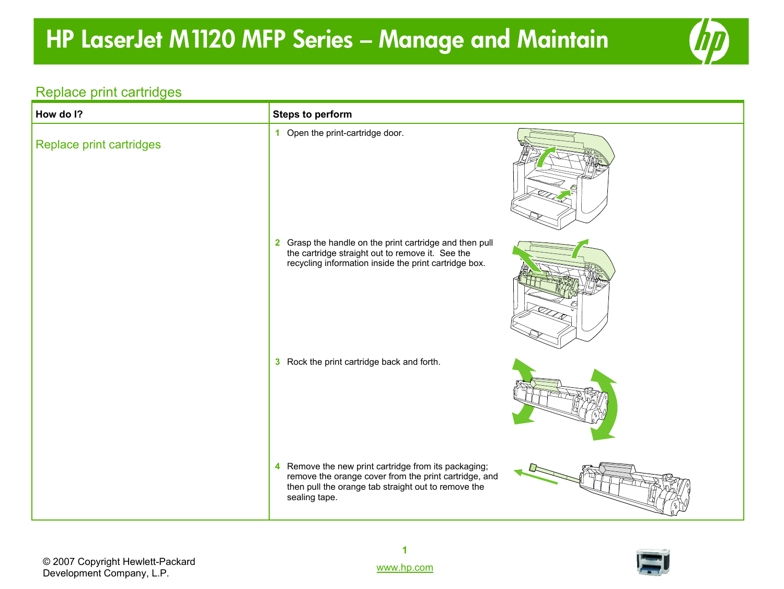## **HP LaserJet M1120 MFP Series – Manage and Maintain**



#### Replace print cartridges

| How do I?                | <b>Steps to perform</b>                                                                                                                                                                  |
|--------------------------|------------------------------------------------------------------------------------------------------------------------------------------------------------------------------------------|
| Replace print cartridges | 1 Open the print-cartridge door.                                                                                                                                                         |
|                          | 2 Grasp the handle on the print cartridge and then pull<br>the cartridge straight out to remove it. See the<br>recycling information inside the print cartridge box.                     |
|                          | 3 Rock the print cartridge back and forth.                                                                                                                                               |
|                          | Remove the new print cartridge from its packaging;<br>4<br>remove the orange cover from the print cartridge, and<br>then pull the orange tab straight out to remove the<br>sealing tape. |

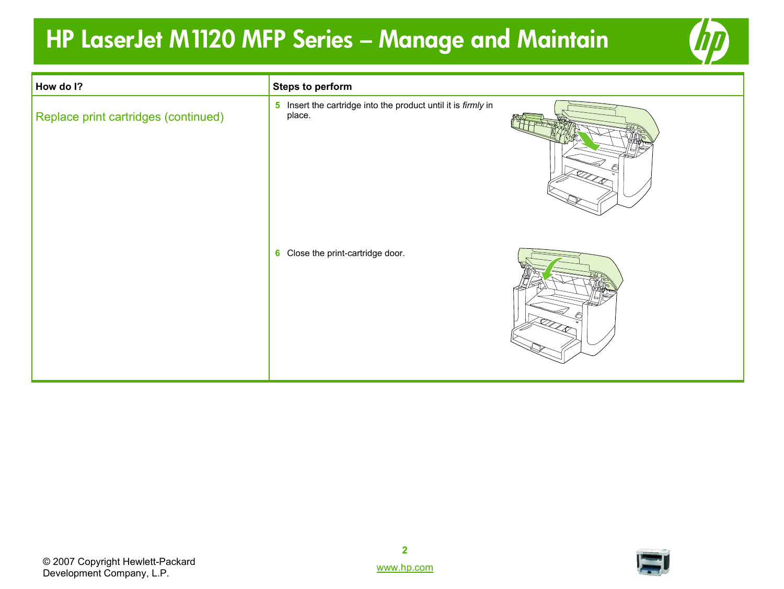### **HP LaserJet M1120 MFP Series – Manage and Maintain**



| How do I?                            | <b>Steps to perform</b>                                                 |  |
|--------------------------------------|-------------------------------------------------------------------------|--|
| Replace print cartridges (continued) | 5 Insert the cartridge into the product until it is firmly in<br>place. |  |
|                                      | 6 Close the print-cartridge door.                                       |  |

© 2007 Copyright Hewlett-Packard Development Company, L.P.



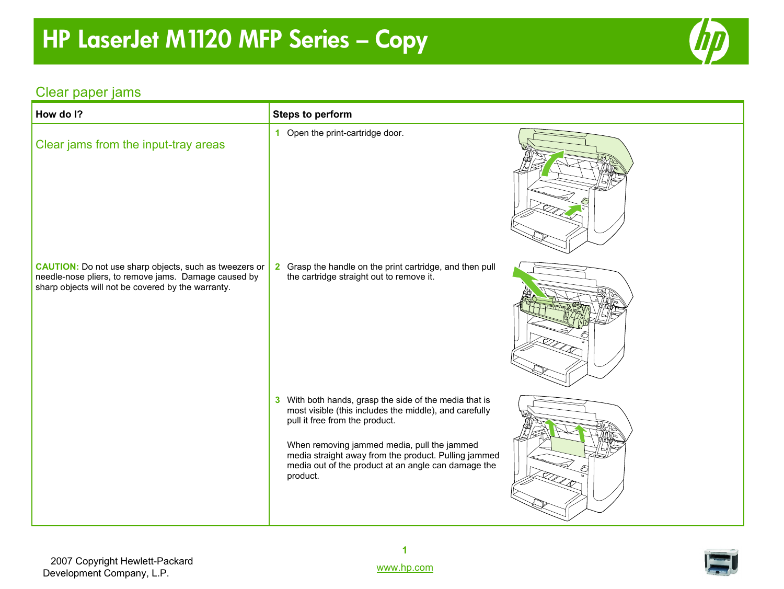# **HP LaserJet M1120 MFP Series – Copy**



### Clear paper jams

| How do I?                                                                                                                                                                   | <b>Steps to perform</b>                                                                                                                                                                                                                                                                                                      |  |
|-----------------------------------------------------------------------------------------------------------------------------------------------------------------------------|------------------------------------------------------------------------------------------------------------------------------------------------------------------------------------------------------------------------------------------------------------------------------------------------------------------------------|--|
| Clear jams from the input-tray areas                                                                                                                                        | 1 Open the print-cartridge door.                                                                                                                                                                                                                                                                                             |  |
| <b>CAUTION:</b> Do not use sharp objects, such as tweezers or<br>needle-nose pliers, to remove jams. Damage caused by<br>sharp objects will not be covered by the warranty. | Grasp the handle on the print cartridge, and then pull<br>$\mathbf{2}$<br>the cartridge straight out to remove it.                                                                                                                                                                                                           |  |
|                                                                                                                                                                             | 3 With both hands, grasp the side of the media that is<br>most visible (this includes the middle), and carefully<br>pull it free from the product.<br>When removing jammed media, pull the jammed<br>media straight away from the product. Pulling jammed<br>media out of the product at an angle can damage the<br>product. |  |



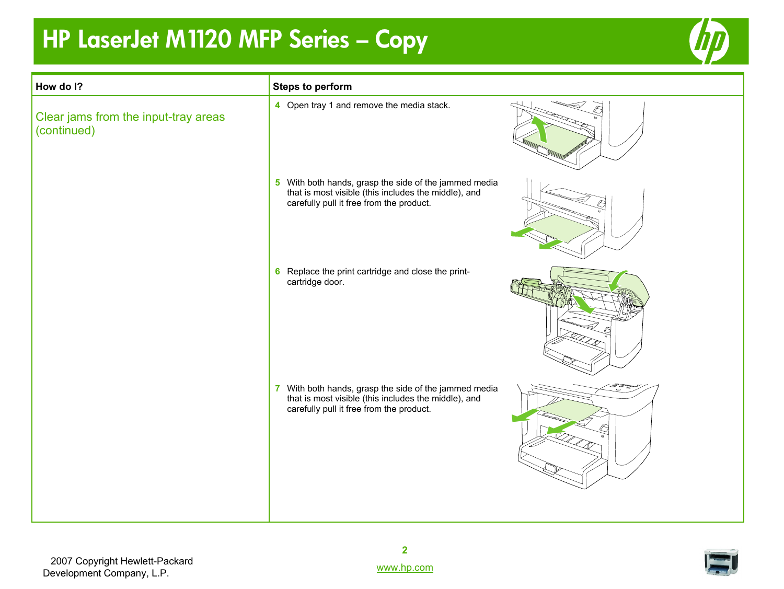# **HP LaserJet M1120 MFP Series – Copy**



| <b>Steps to perform</b>                                                                                                                                   |  |
|-----------------------------------------------------------------------------------------------------------------------------------------------------------|--|
| 4 Open tray 1 and remove the media stack.                                                                                                                 |  |
| 5 With both hands, grasp the side of the jammed media<br>that is most visible (this includes the middle), and<br>carefully pull it free from the product. |  |
| 6 Replace the print cartridge and close the print-<br>cartridge door.                                                                                     |  |
| 7 With both hands, grasp the side of the jammed media<br>that is most visible (this includes the middle), and<br>carefully pull it free from the product. |  |
|                                                                                                                                                           |  |